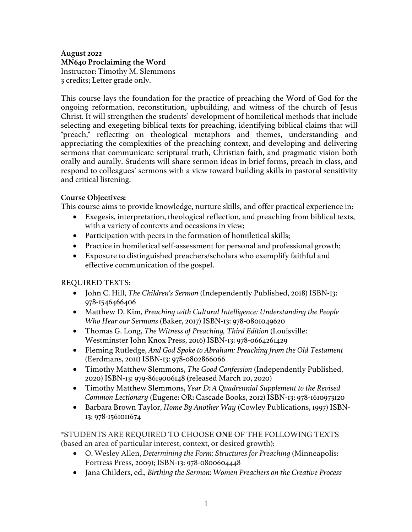## **August 2022 MN640 Proclaiming the Word**  Instructor: Timothy M. Slemmons 3 credits; Letter grade only.

This course lays the foundation for the practice of preaching the Word of God for the ongoing reformation, reconstitution, upbuilding, and witness of the church of Jesus Christ. It will strengthen the students' development of homiletical methods that include selecting and exegeting biblical texts for preaching, identifying biblical claims that will "preach," reflecting on theological metaphors and themes, understanding and appreciating the complexities of the preaching context, and developing and delivering sermons that communicate scriptural truth, Christian faith, and pragmatic vision both orally and aurally. Students will share sermon ideas in brief forms, preach in class, and respond to colleagues' sermons with a view toward building skills in pastoral sensitivity and critical listening.

## **Course Objectives:**

This course aims to provide knowledge, nurture skills, and offer practical experience in:

- Exegesis, interpretation, theological reflection, and preaching from biblical texts, with a variety of contexts and occasions in view;
- Participation with peers in the formation of homiletical skills;
- Practice in homiletical self-assessment for personal and professional growth;
- Exposure to distinguished preachers/scholars who exemplify faithful and effective communication of the gospel.

## REQUIRED TEXTS:

- John C. Hill, *The Children's Sermon* (Independently Published, 2018) ISBN-13: 978-1546466406
- Matthew D. Kim, *Preaching with Cultural Intelligence: Understanding the People Who Hear our Sermons* (Baker, 2017) ISBN-13: 978-0801049620
- Thomas G. Long, *The Witness of Preaching, Third Edition* (Louisville: Westminster John Knox Press, 2016) ISBN-13: 978-0664261429
- Fleming Rutledge, *And God Spoke to Abraham: Preaching from the Old Testament* (Eerdmans, 2011) ISBN-13: 978-0802866066
- Timothy Matthew Slemmons, *The Good Confession* (Independently Published, 2020) ISBN-13: 979-8619006148 (released March 20, 2020)
- Timothy Matthew Slemmons, *Year D: A Quadrennial Supplement to the Revised Common Lectionary* (Eugene: OR: Cascade Books, 2012) ISBN-13: 978-1610973120
- Barbara Brown Taylor, *Home By Another Way* (Cowley Publications, 1997) ISBN-13: 978-1561011674

## \*STUDENTS ARE REQUIRED TO CHOOSE **ONE** OF THE FOLLOWING TEXTS (based an area of particular interest, context, or desired growth):

- O. Wesley Allen, *Determining the Form: Structures for Preaching* (Minneapolis: Fortress Press, 2009); ISBN-13: 978-0800604448
- Jana Childers, ed., *Birthing the Sermon: Women Preachers on the Creative Process*